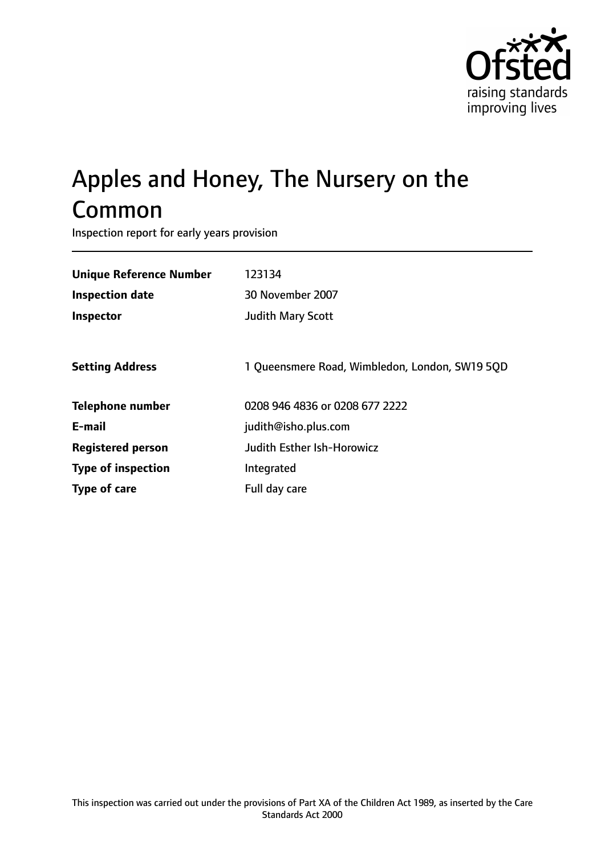

# Apples and Honey, The Nursery on the Common

Inspection report for early years provision

| <b>Unique Reference Number</b> | 123134                                         |
|--------------------------------|------------------------------------------------|
| Inspection date                | 30 November 2007                               |
| Inspector                      | Judith Mary Scott                              |
|                                |                                                |
| <b>Setting Address</b>         | 1 Queensmere Road, Wimbledon, London, SW19 5QD |
| <b>Telephone number</b>        | 0208 946 4836 or 0208 677 2222                 |
| E-mail                         | judith@isho.plus.com                           |
| <b>Registered person</b>       | Judith Esther Ish-Horowicz                     |
| <b>Type of inspection</b>      | Integrated                                     |
| Type of care                   | Full day care                                  |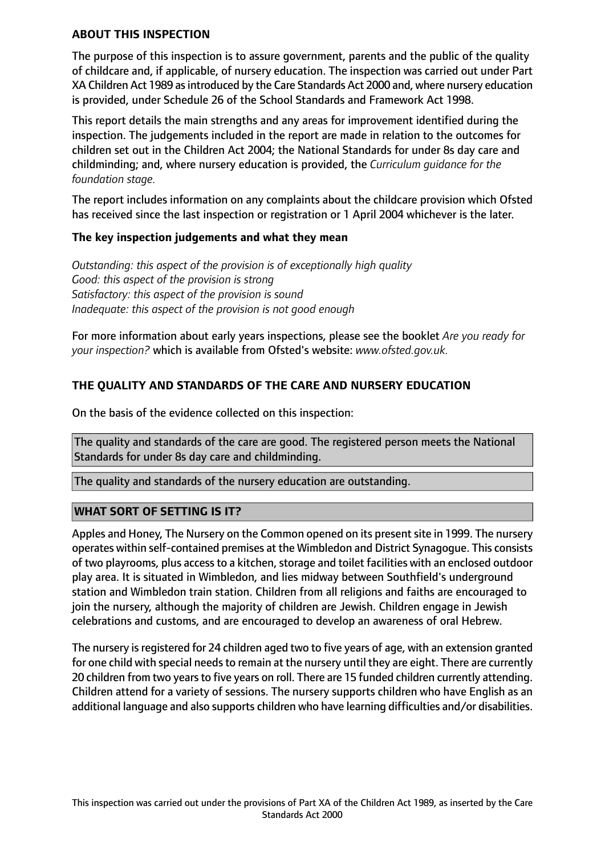#### **ABOUT THIS INSPECTION**

The purpose of this inspection is to assure government, parents and the public of the quality of childcare and, if applicable, of nursery education. The inspection was carried out under Part XA Children Act 1989 asintroduced by the Care Standards Act 2000 and, where nursery education is provided, under Schedule 26 of the School Standards and Framework Act 1998.

This report details the main strengths and any areas for improvement identified during the inspection. The judgements included in the report are made in relation to the outcomes for children set out in the Children Act 2004; the National Standards for under 8s day care and childminding; and, where nursery education is provided, the *Curriculum guidance for the foundation stage.*

The report includes information on any complaints about the childcare provision which Ofsted has received since the last inspection or registration or 1 April 2004 whichever is the later.

#### **The key inspection judgements and what they mean**

*Outstanding: this aspect of the provision is of exceptionally high quality Good: this aspect of the provision is strong Satisfactory: this aspect of the provision is sound Inadequate: this aspect of the provision is not good enough*

For more information about early years inspections, please see the booklet *Are you ready for your inspection?* which is available from Ofsted's website: *www.ofsted.gov.uk.*

# **THE QUALITY AND STANDARDS OF THE CARE AND NURSERY EDUCATION**

On the basis of the evidence collected on this inspection:

The quality and standards of the care are good. The registered person meets the National Standards for under 8s day care and childminding.

The quality and standards of the nursery education are outstanding.

## **WHAT SORT OF SETTING IS IT?**

Apples and Honey, The Nursery on the Common opened on its present site in 1999. The nursery operates within self-contained premises at the Wimbledon and District Synagogue. This consists of two playrooms, plus access to a kitchen, storage and toilet facilities with an enclosed outdoor play area. It is situated in Wimbledon, and lies midway between Southfield's underground station and Wimbledon train station. Children from all religions and faiths are encouraged to join the nursery, although the majority of children are Jewish. Children engage in Jewish celebrations and customs, and are encouraged to develop an awareness of oral Hebrew.

The nursery is registered for 24 children aged two to five years of age, with an extension granted for one child with special needs to remain at the nursery until they are eight. There are currently 20 children from two years to five years on roll. There are 15 funded children currently attending. Children attend for a variety of sessions. The nursery supports children who have English as an additional language and also supports children who have learning difficulties and/or disabilities.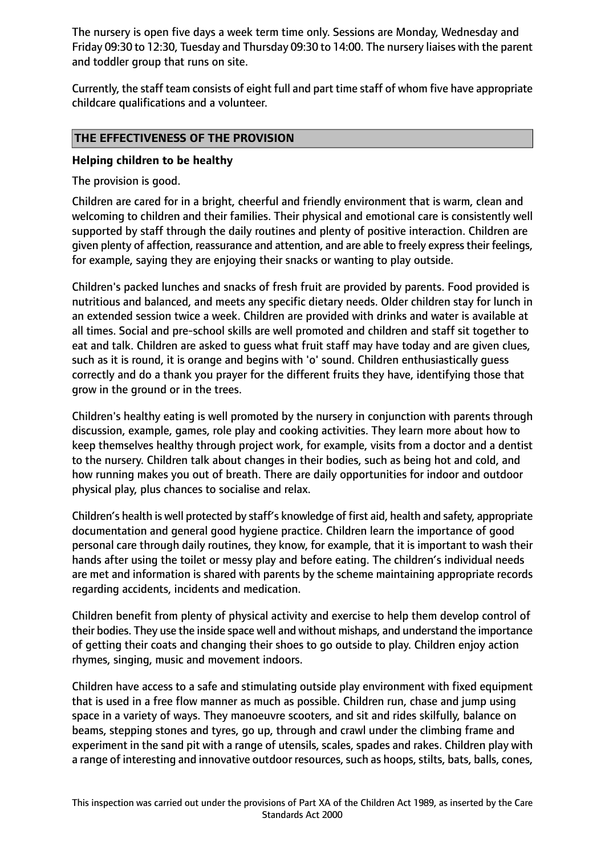The nursery is open five days a week term time only. Sessions are Monday, Wednesday and Friday 09:30 to 12:30, Tuesday and Thursday 09:30 to 14:00. The nursery liaises with the parent and toddler group that runs on site.

Currently, the staff team consists of eight full and part time staff of whom five have appropriate childcare qualifications and a volunteer.

## **THE EFFECTIVENESS OF THE PROVISION**

## **Helping children to be healthy**

The provision is good.

Children are cared for in a bright, cheerful and friendly environment that is warm, clean and welcoming to children and their families. Their physical and emotional care is consistently well supported by staff through the daily routines and plenty of positive interaction. Children are given plenty of affection, reassurance and attention, and are able to freely expresstheir feelings, for example, saying they are enjoying their snacks or wanting to play outside.

Children's packed lunches and snacks of fresh fruit are provided by parents. Food provided is nutritious and balanced, and meets any specific dietary needs. Older children stay for lunch in an extended session twice a week. Children are provided with drinks and water is available at all times. Social and pre-school skills are well promoted and children and staff sit together to eat and talk. Children are asked to guess what fruit staff may have today and are given clues, such as it is round, it is orange and begins with 'o' sound. Children enthusiastically guess correctly and do a thank you prayer for the different fruits they have, identifying those that grow in the ground or in the trees.

Children's healthy eating is well promoted by the nursery in conjunction with parents through discussion, example, games, role play and cooking activities. They learn more about how to keep themselves healthy through project work, for example, visits from a doctor and a dentist to the nursery. Children talk about changes in their bodies, such as being hot and cold, and how running makes you out of breath. There are daily opportunities for indoor and outdoor physical play, plus chances to socialise and relax.

Children's health is well protected by staff's knowledge of first aid, health and safety, appropriate documentation and general good hygiene practice. Children learn the importance of good personal care through daily routines, they know, for example, that it is important to wash their hands after using the toilet or messy play and before eating. The children's individual needs are met and information is shared with parents by the scheme maintaining appropriate records regarding accidents, incidents and medication.

Children benefit from plenty of physical activity and exercise to help them develop control of their bodies. They use the inside space well and without mishaps, and understand the importance of getting their coats and changing their shoes to go outside to play. Children enjoy action rhymes, singing, music and movement indoors.

Children have access to a safe and stimulating outside play environment with fixed equipment that is used in a free flow manner as much as possible. Children run, chase and jump using space in a variety of ways. They manoeuvre scooters, and sit and rides skilfully, balance on beams, stepping stones and tyres, go up, through and crawl under the climbing frame and experiment in the sand pit with a range of utensils, scales, spades and rakes. Children play with a range of interesting and innovative outdoor resources, such as hoops, stilts, bats, balls, cones,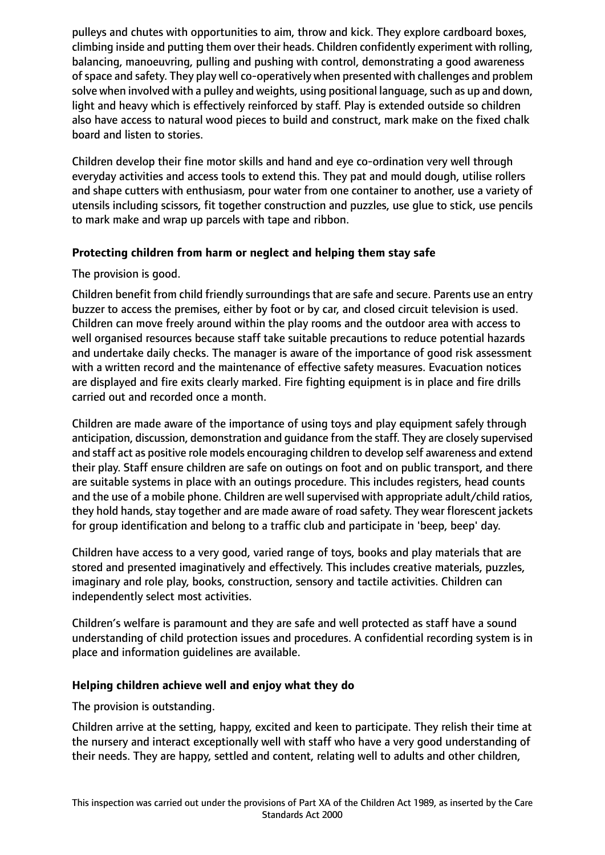pulleys and chutes with opportunities to aim, throw and kick. They explore cardboard boxes, climbing inside and putting them over their heads. Children confidently experiment with rolling, balancing, manoeuvring, pulling and pushing with control, demonstrating a good awareness of space and safety. They play well co-operatively when presented with challenges and problem solve when involved with a pulley and weights, using positional language, such as up and down, light and heavy which is effectively reinforced by staff. Play is extended outside so children also have access to natural wood pieces to build and construct, mark make on the fixed chalk board and listen to stories.

Children develop their fine motor skills and hand and eye co-ordination very well through everyday activities and access tools to extend this. They pat and mould dough, utilise rollers and shape cutters with enthusiasm, pour water from one container to another, use a variety of utensils including scissors, fit together construction and puzzles, use glue to stick, use pencils to mark make and wrap up parcels with tape and ribbon.

# **Protecting children from harm or neglect and helping them stay safe**

The provision is good.

Children benefit from child friendly surroundings that are safe and secure. Parents use an entry buzzer to access the premises, either by foot or by car, and closed circuit television is used. Children can move freely around within the play rooms and the outdoor area with access to well organised resources because staff take suitable precautions to reduce potential hazards and undertake daily checks. The manager is aware of the importance of good risk assessment with a written record and the maintenance of effective safety measures. Evacuation notices are displayed and fire exits clearly marked. Fire fighting equipment is in place and fire drills carried out and recorded once a month.

Children are made aware of the importance of using toys and play equipment safely through anticipation, discussion, demonstration and guidance from the staff. They are closely supervised and staff act as positive role models encouraging children to develop self awareness and extend their play. Staff ensure children are safe on outings on foot and on public transport, and there are suitable systems in place with an outings procedure. This includes registers, head counts and the use of a mobile phone. Children are well supervised with appropriate adult/child ratios, they hold hands, stay together and are made aware of road safety. They wear florescent jackets for group identification and belong to a traffic club and participate in 'beep, beep' day.

Children have access to a very good, varied range of toys, books and play materials that are stored and presented imaginatively and effectively. This includes creative materials, puzzles, imaginary and role play, books, construction, sensory and tactile activities. Children can independently select most activities.

Children's welfare is paramount and they are safe and well protected as staff have a sound understanding of child protection issues and procedures. A confidential recording system is in place and information guidelines are available.

## **Helping children achieve well and enjoy what they do**

The provision is outstanding.

Children arrive at the setting, happy, excited and keen to participate. They relish their time at the nursery and interact exceptionally well with staff who have a very good understanding of their needs. They are happy, settled and content, relating well to adults and other children,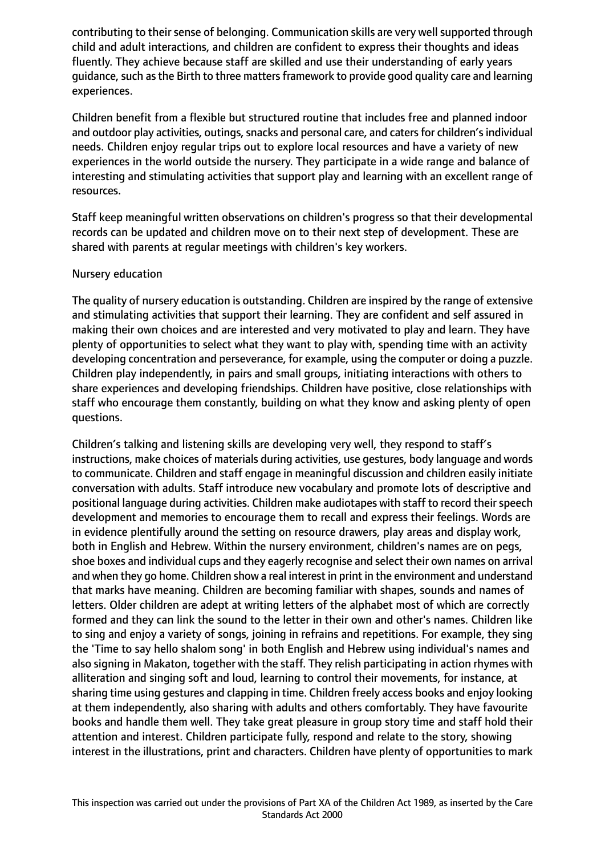contributing to their sense of belonging. Communication skills are very well supported through child and adult interactions, and children are confident to express their thoughts and ideas fluently. They achieve because staff are skilled and use their understanding of early years guidance, such as the Birth to three matters framework to provide good quality care and learning experiences.

Children benefit from a flexible but structured routine that includes free and planned indoor and outdoor play activities, outings, snacks and personal care, and caters for children's individual needs. Children enjoy regular trips out to explore local resources and have a variety of new experiences in the world outside the nursery. They participate in a wide range and balance of interesting and stimulating activities that support play and learning with an excellent range of resources.

Staff keep meaningful written observations on children's progress so that their developmental records can be updated and children move on to their next step of development. These are shared with parents at regular meetings with children's key workers.

#### Nursery education

The quality of nursery education is outstanding. Children are inspired by the range of extensive and stimulating activities that support their learning. They are confident and self assured in making their own choices and are interested and very motivated to play and learn. They have plenty of opportunities to select what they want to play with, spending time with an activity developing concentration and perseverance, for example, using the computer or doing a puzzle. Children play independently, in pairs and small groups, initiating interactions with others to share experiences and developing friendships. Children have positive, close relationships with staff who encourage them constantly, building on what they know and asking plenty of open questions.

Children's talking and listening skills are developing very well, they respond to staff's instructions, make choices of materials during activities, use gestures, body language and words to communicate. Children and staff engage in meaningful discussion and children easily initiate conversation with adults. Staff introduce new vocabulary and promote lots of descriptive and positional language during activities. Children make audiotapes with staff to record their speech development and memories to encourage them to recall and express their feelings. Words are in evidence plentifully around the setting on resource drawers, play areas and display work, both in English and Hebrew. Within the nursery environment, children's names are on pegs, shoe boxes and individual cups and they eagerly recognise and select their own names on arrival and when they go home. Children show a real interest in print in the environment and understand that marks have meaning. Children are becoming familiar with shapes, sounds and names of letters. Older children are adept at writing letters of the alphabet most of which are correctly formed and they can link the sound to the letter in their own and other's names. Children like to sing and enjoy a variety of songs, joining in refrains and repetitions. For example, they sing the 'Time to say hello shalom song' in both English and Hebrew using individual's names and also signing in Makaton, together with the staff. They relish participating in action rhymes with alliteration and singing soft and loud, learning to control their movements, for instance, at sharing time using gestures and clapping in time. Children freely access books and enjoy looking at them independently, also sharing with adults and others comfortably. They have favourite books and handle them well. They take great pleasure in group story time and staff hold their attention and interest. Children participate fully, respond and relate to the story, showing interest in the illustrations, print and characters. Children have plenty of opportunities to mark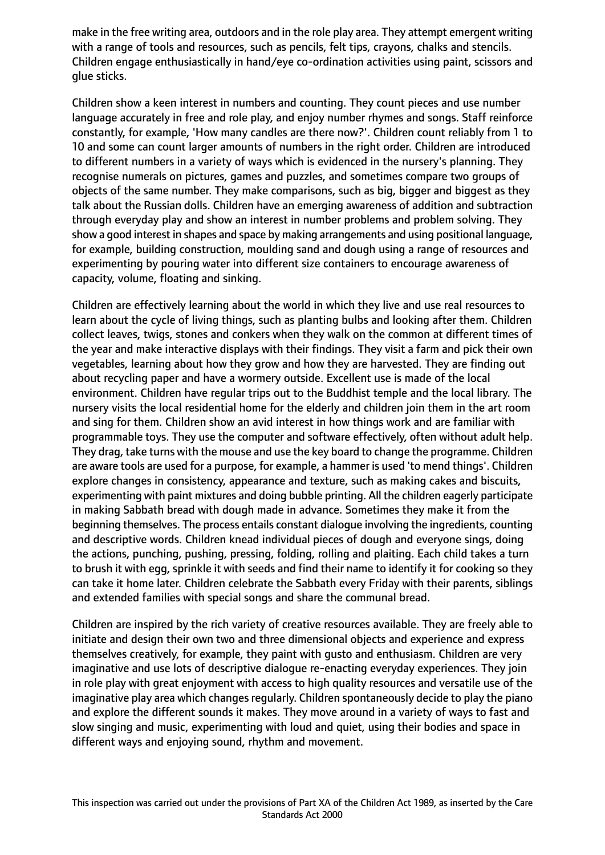make in the free writing area, outdoors and in the role play area. They attempt emergent writing with a range of tools and resources, such as pencils, felt tips, crayons, chalks and stencils. Children engage enthusiastically in hand/eye co-ordination activities using paint, scissors and glue sticks.

Children show a keen interest in numbers and counting. They count pieces and use number language accurately in free and role play, and enjoy number rhymes and songs. Staff reinforce constantly, for example, 'How many candles are there now?'. Children count reliably from 1 to 10 and some can count larger amounts of numbers in the right order. Children are introduced to different numbers in a variety of ways which is evidenced in the nursery's planning. They recognise numerals on pictures, games and puzzles, and sometimes compare two groups of objects of the same number. They make comparisons, such as big, bigger and biggest as they talk about the Russian dolls. Children have an emerging awareness of addition and subtraction through everyday play and show an interest in number problems and problem solving. They show a good interest in shapes and space by making arrangements and using positional language, for example, building construction, moulding sand and dough using a range of resources and experimenting by pouring water into different size containers to encourage awareness of capacity, volume, floating and sinking.

Children are effectively learning about the world in which they live and use real resources to learn about the cycle of living things, such as planting bulbs and looking after them. Children collect leaves, twigs, stones and conkers when they walk on the common at different times of the year and make interactive displays with their findings. They visit a farm and pick their own vegetables, learning about how they grow and how they are harvested. They are finding out about recycling paper and have a wormery outside. Excellent use is made of the local environment. Children have regular trips out to the Buddhist temple and the local library. The nursery visits the local residential home for the elderly and children join them in the art room and sing for them. Children show an avid interest in how things work and are familiar with programmable toys. They use the computer and software effectively, often without adult help. They drag, take turns with the mouse and use the key board to change the programme. Children are aware tools are used for a purpose, for example, a hammer is used 'to mend things'. Children explore changes in consistency, appearance and texture, such as making cakes and biscuits, experimenting with paint mixtures and doing bubble printing. All the children eagerly participate in making Sabbath bread with dough made in advance. Sometimes they make it from the beginning themselves. The process entails constant dialogue involving the ingredients, counting and descriptive words. Children knead individual pieces of dough and everyone sings, doing the actions, punching, pushing, pressing, folding, rolling and plaiting. Each child takes a turn to brush it with egg, sprinkle it with seeds and find their name to identify it for cooking so they can take it home later. Children celebrate the Sabbath every Friday with their parents, siblings and extended families with special songs and share the communal bread.

Children are inspired by the rich variety of creative resources available. They are freely able to initiate and design their own two and three dimensional objects and experience and express themselves creatively, for example, they paint with gusto and enthusiasm. Children are very imaginative and use lots of descriptive dialogue re-enacting everyday experiences. They join in role play with great enjoyment with access to high quality resources and versatile use of the imaginative play area which changes regularly. Children spontaneously decide to play the piano and explore the different sounds it makes. They move around in a variety of ways to fast and slow singing and music, experimenting with loud and quiet, using their bodies and space in different ways and enjoying sound, rhythm and movement.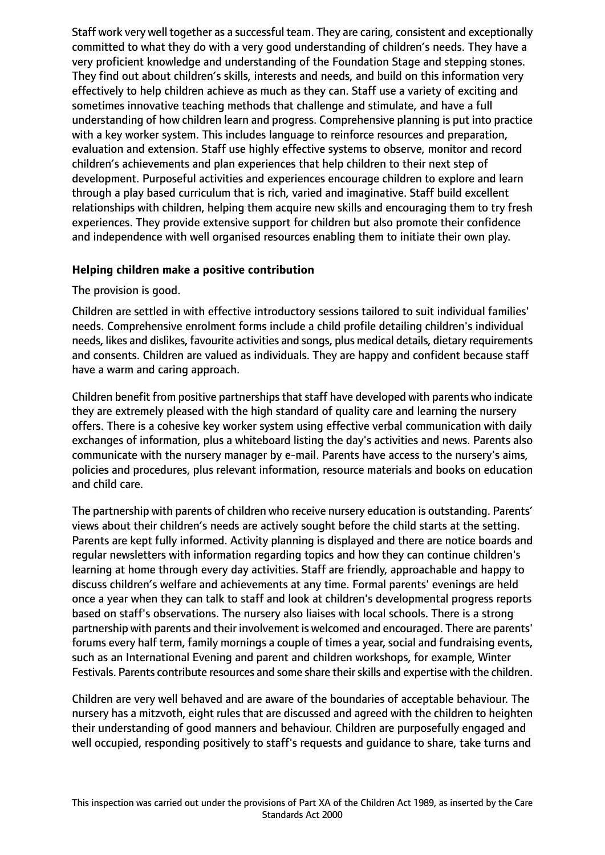Staff work very well together as a successful team. They are caring, consistent and exceptionally committed to what they do with a very good understanding of children's needs. They have a very proficient knowledge and understanding of the Foundation Stage and stepping stones. They find out about children's skills, interests and needs, and build on this information very effectively to help children achieve as much as they can. Staff use a variety of exciting and sometimes innovative teaching methods that challenge and stimulate, and have a full understanding of how children learn and progress. Comprehensive planning is put into practice with a key worker system. This includes language to reinforce resources and preparation, evaluation and extension. Staff use highly effective systems to observe, monitor and record children's achievements and plan experiences that help children to their next step of development. Purposeful activities and experiences encourage children to explore and learn through a play based curriculum that is rich, varied and imaginative. Staff build excellent relationships with children, helping them acquire new skills and encouraging them to try fresh experiences. They provide extensive support for children but also promote their confidence and independence with well organised resources enabling them to initiate their own play.

## **Helping children make a positive contribution**

The provision is good.

Children are settled in with effective introductory sessions tailored to suit individual families' needs. Comprehensive enrolment forms include a child profile detailing children's individual needs, likes and dislikes, favourite activities and songs, plus medical details, dietary requirements and consents. Children are valued as individuals. They are happy and confident because staff have a warm and caring approach.

Children benefit from positive partnerships that staff have developed with parents who indicate they are extremely pleased with the high standard of quality care and learning the nursery offers. There is a cohesive key worker system using effective verbal communication with daily exchanges of information, plus a whiteboard listing the day's activities and news. Parents also communicate with the nursery manager by e-mail. Parents have access to the nursery's aims, policies and procedures, plus relevant information, resource materials and books on education and child care.

The partnership with parents of children who receive nursery education is outstanding. Parents' views about their children's needs are actively sought before the child starts at the setting. Parents are kept fully informed. Activity planning is displayed and there are notice boards and regular newsletters with information regarding topics and how they can continue children's learning at home through every day activities. Staff are friendly, approachable and happy to discuss children's welfare and achievements at any time. Formal parents' evenings are held once a year when they can talk to staff and look at children's developmental progress reports based on staff's observations. The nursery also liaises with local schools. There is a strong partnership with parents and their involvement is welcomed and encouraged. There are parents' forums every half term, family mornings a couple of times a year, social and fundraising events, such as an International Evening and parent and children workshops, for example, Winter Festivals. Parents contribute resources and some share their skills and expertise with the children.

Children are very well behaved and are aware of the boundaries of acceptable behaviour. The nursery has a mitzvoth, eight rules that are discussed and agreed with the children to heighten their understanding of good manners and behaviour. Children are purposefully engaged and well occupied, responding positively to staff's requests and guidance to share, take turns and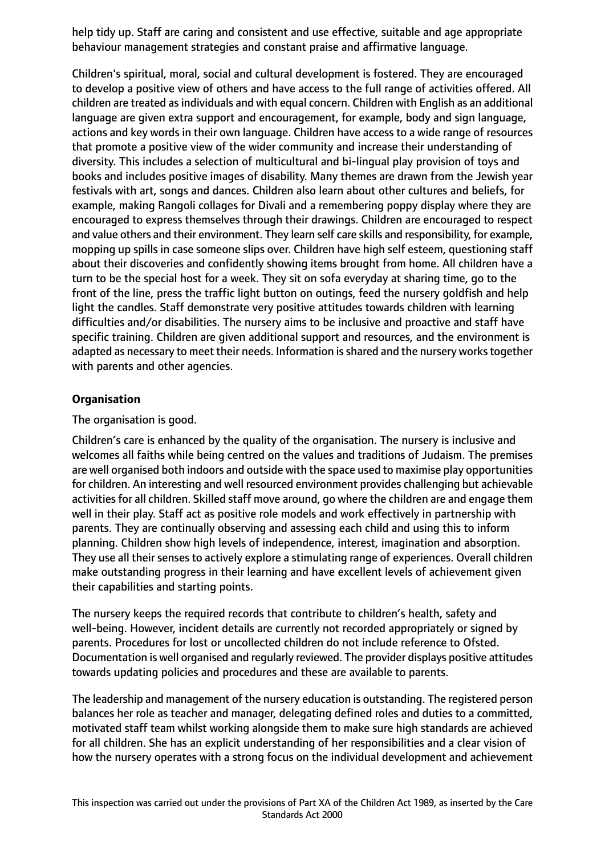help tidy up. Staff are caring and consistent and use effective, suitable and age appropriate behaviour management strategies and constant praise and affirmative language.

Children's spiritual, moral, social and cultural development is fostered. They are encouraged to develop a positive view of others and have access to the full range of activities offered. All children are treated as individuals and with equal concern. Children with English as an additional language are given extra support and encouragement, for example, body and sign language, actions and key words in their own language. Children have access to a wide range of resources that promote a positive view of the wider community and increase their understanding of diversity. This includes a selection of multicultural and bi-lingual play provision of toys and books and includes positive images of disability. Many themes are drawn from the Jewish year festivals with art, songs and dances. Children also learn about other cultures and beliefs, for example, making Rangoli collages for Divali and a remembering poppy display where they are encouraged to express themselves through their drawings. Children are encouraged to respect and value others and their environment. They learn self care skills and responsibility, for example, mopping up spills in case someone slips over. Children have high self esteem, questioning staff about their discoveries and confidently showing items brought from home. All children have a turn to be the special host for a week. They sit on sofa everyday at sharing time, go to the front of the line, press the traffic light button on outings, feed the nursery goldfish and help light the candles. Staff demonstrate very positive attitudes towards children with learning difficulties and/or disabilities. The nursery aims to be inclusive and proactive and staff have specific training. Children are given additional support and resources, and the environment is adapted as necessary to meet their needs. Information is shared and the nursery works together with parents and other agencies.

# **Organisation**

The organisation is good.

Children's care is enhanced by the quality of the organisation. The nursery is inclusive and welcomes all faiths while being centred on the values and traditions of Judaism. The premises are well organised both indoors and outside with the space used to maximise play opportunities for children. An interesting and well resourced environment provides challenging but achievable activities for all children. Skilled staff move around, go where the children are and engage them well in their play. Staff act as positive role models and work effectively in partnership with parents. They are continually observing and assessing each child and using this to inform planning. Children show high levels of independence, interest, imagination and absorption. They use all their senses to actively explore a stimulating range of experiences. Overall children make outstanding progress in their learning and have excellent levels of achievement given their capabilities and starting points.

The nursery keeps the required records that contribute to children's health, safety and well-being. However, incident details are currently not recorded appropriately or signed by parents. Procedures for lost or uncollected children do not include reference to Ofsted. Documentation is well organised and regularly reviewed. The provider displays positive attitudes towards updating policies and procedures and these are available to parents.

The leadership and management of the nursery education is outstanding. The registered person balances her role as teacher and manager, delegating defined roles and duties to a committed, motivated staff team whilst working alongside them to make sure high standards are achieved for all children. She has an explicit understanding of her responsibilities and a clear vision of how the nursery operates with a strong focus on the individual development and achievement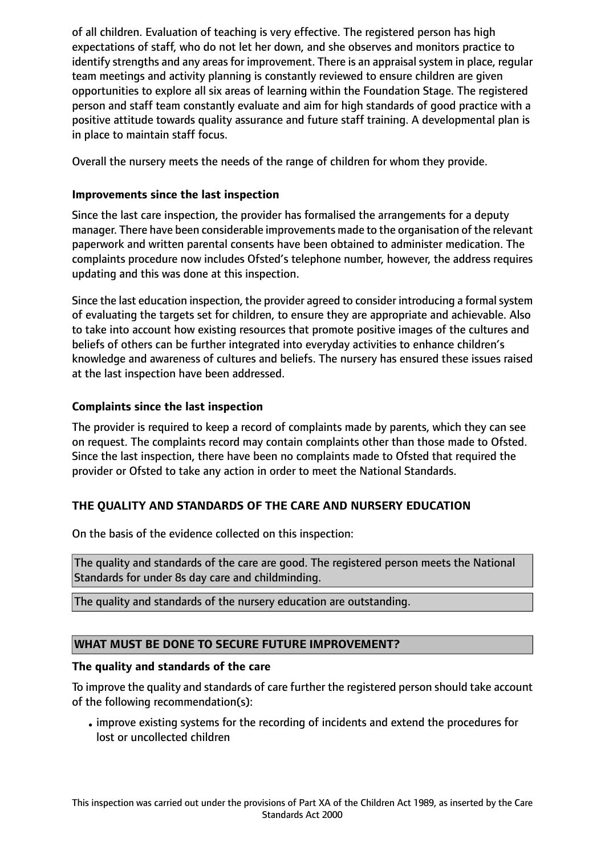of all children. Evaluation of teaching is very effective. The registered person has high expectations of staff, who do not let her down, and she observes and monitors practice to identify strengths and any areas for improvement. There is an appraisal system in place, regular team meetings and activity planning is constantly reviewed to ensure children are given opportunities to explore all six areas of learning within the Foundation Stage. The registered person and staff team constantly evaluate and aim for high standards of good practice with a positive attitude towards quality assurance and future staff training. A developmental plan is in place to maintain staff focus.

Overall the nursery meets the needs of the range of children for whom they provide.

# **Improvements since the last inspection**

Since the last care inspection, the provider has formalised the arrangements for a deputy manager. There have been considerable improvements made to the organisation of the relevant paperwork and written parental consents have been obtained to administer medication. The complaints procedure now includes Ofsted's telephone number, however, the address requires updating and this was done at this inspection.

Since the last education inspection, the provider agreed to consider introducing a formal system of evaluating the targets set for children, to ensure they are appropriate and achievable. Also to take into account how existing resources that promote positive images of the cultures and beliefs of others can be further integrated into everyday activities to enhance children's knowledge and awareness of cultures and beliefs. The nursery has ensured these issues raised at the last inspection have been addressed.

# **Complaints since the last inspection**

The provider is required to keep a record of complaints made by parents, which they can see on request. The complaints record may contain complaints other than those made to Ofsted. Since the last inspection, there have been no complaints made to Ofsted that required the provider or Ofsted to take any action in order to meet the National Standards.

# **THE QUALITY AND STANDARDS OF THE CARE AND NURSERY EDUCATION**

On the basis of the evidence collected on this inspection:

The quality and standards of the care are good. The registered person meets the National Standards for under 8s day care and childminding.

The quality and standards of the nursery education are outstanding.

# **WHAT MUST BE DONE TO SECURE FUTURE IMPROVEMENT?**

## **The quality and standards of the care**

To improve the quality and standards of care further the registered person should take account of the following recommendation(s):

•improve existing systems for the recording of incidents and extend the procedures for lost or uncollected children